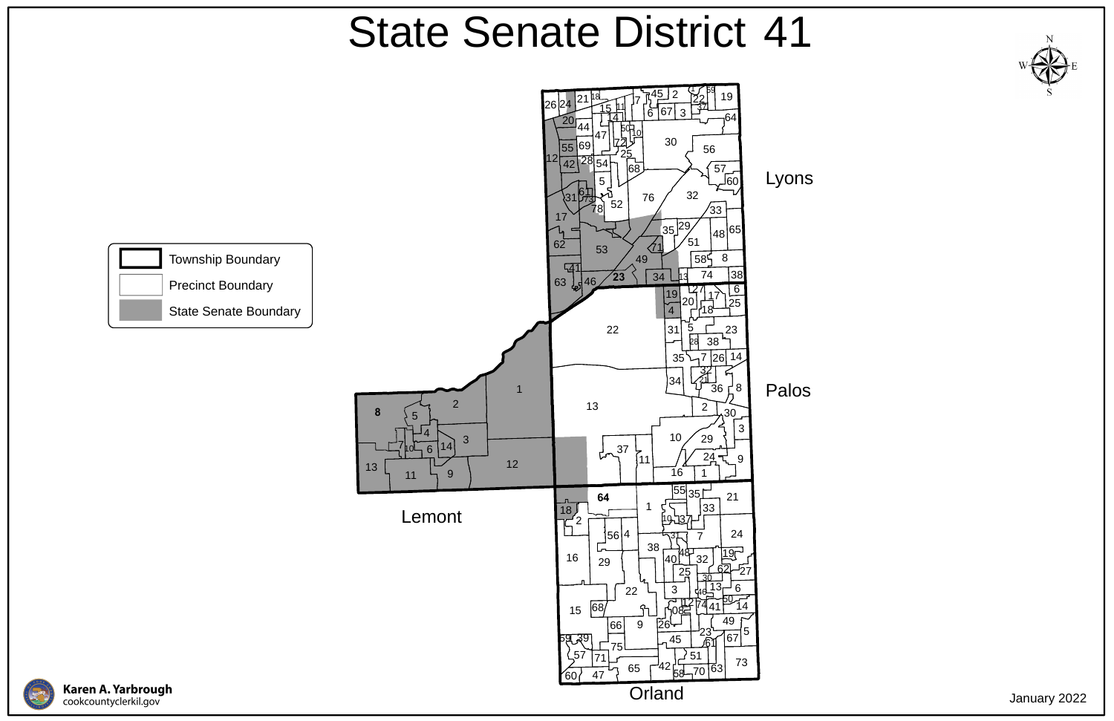

**Karen A. Yarbrough**<br>cookcountyclerkil.gov



## State Senate District 41

January 2022